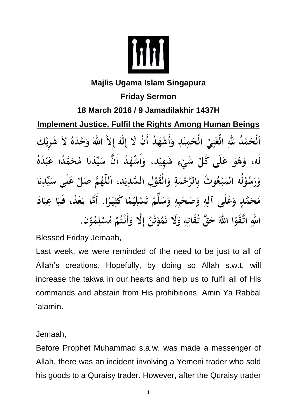

## **Majlis Ugama Islam Singapura Friday Sermon 18 March 2016 / 9 Jamadilakhir 1437H Implement Justice, Fulfil the Rights Among Human Beings** ٱلْحَمْدُ للَّهِ الْغَنِيِّ الْحَمِيْدِ وَأَشْهَدُ أَنْ لَا إِلَهَ إِلاَّ اللَّهُ وَحْدَهُ لاَ شَرِيْكَ لَه، وَهُوَ عَلَى كُلِّ شَيْءٍ شَهِيْد، وَأَشْهَدُ أَنَّ سَيِّدَنَا مُحَمَّدًا عَبْدُهُ وَرَسُوْلُه المَبْعُوتُ بِالرَّحْمَةِ وَالْقَوْلِ السَّدِيْدِ، اَللَّهُمَّ صَلِّ عَلَى سَيِّدِنَا مُحَمَّدٍ وَعَلَى آلِهِ وَصَحْبِهِ وَسَلِّمْ تَسْلِيْمًا كَثِيْرًا. أَمَّا بَعْدُ، فَيَا عِبَادَ اللهِ اتَّقُوْا اللهَ حَقَّ تُقَاتِهِ وَلَا تَمُوْتُنَّ إِلَّا وَأَنْتُمْ مُسْلِمُوْن.

Blessed Friday Jemaah,

Last week, we were reminded of the need to be just to all of Allah's creations. Hopefully, by doing so Allah s.w.t. will increase the takwa in our hearts and help us to fulfil all of His commands and abstain from His prohibitions. Amin Ya Rabbal 'alamin.

Jemaah,

Before Prophet Muhammad s.a.w. was made a messenger of Allah, there was an incident involving a Yemeni trader who sold his goods to a Quraisy trader. However, after the Quraisy trader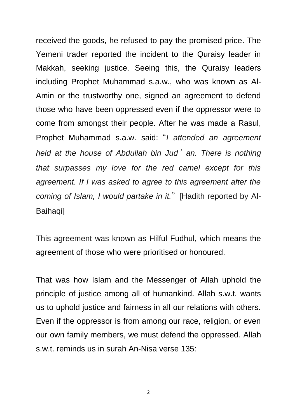received the goods, he refused to pay the promised price. The Yemeni trader reported the incident to the Quraisy leader in Makkah, seeking justice. Seeing this, the Quraisy leaders including Prophet Muhammad s.a.w., who was known as Al-Amin or the trustworthy one, signed an agreement to defend those who have been oppressed even if the oppressor were to come from amongst their people. After he was made a Rasul, Prophet Muhammad s.a.w. said:"*I attended an agreement held at the house of Abdullah bin Jud*'*an. There is nothing that surpasses my love for the red camel except for this agreement. If I was asked to agree to this agreement after the coming of Islam, I would partake in it.*"[Hadith reported by Al-Baihaqi]

This agreement was known as Hilful Fudhul, which means the agreement of those who were prioritised or honoured.

That was how Islam and the Messenger of Allah uphold the principle of justice among all of humankind. Allah s.w.t. wants us to uphold justice and fairness in all our relations with others. Even if the oppressor is from among our race, religion, or even our own family members, we must defend the oppressed. Allah s.w.t. reminds us in surah An-Nisa verse 135:

2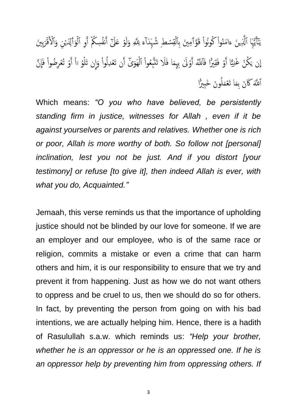يَآاَيُّهَا ٱلَّذِينَ ءَامَنُواْ كُونُواْ قَوَّآمِينَ بِٱلۡقِسۡطِ شُهَدَآءَ لِلَّهِ وَلَوۡ عَلَىٰٓ أَشۡسِكُمۡ أَوِ ٱلۡوَٱلِدَيۡنِ وَٱلۡأَقۡرَبِينَ پر<br>پہ يو<br>په م<br>أ ٰٓأ Ì ا<br>-<br>- $\frac{1}{2}$ ي أ ;<br>أا م<br>أ نة<br>ف ْ  $\tilde{\mathbf{z}}$ قِ أ<br>أ ل .<br>أأ أَمْ ل ة ِ <u>ة</u>  $\tilde{z}$ َ ل<br>أ ل .<br>آ ٱ .<br>أ ٱ إِن يَكُنْ غَنِيًّا أَوْ فَقِيرًا فَٱللَّهُ أَوْلَىٰ بِهِمَا فَلَا تَتَّبِعُواْ ٱلْهَوَىٰٓ أَن تَعۡدِلُواْ وَإِن تَلۡوُ رَاْ أَوۡ تُعۡرِضُواْ فَإِنَّ  $\ddot{\bullet}$ ِ<br>معرضہ يم<br>ج  $\tilde{z}$ ِ<br>خ ر<br>آا  $\tilde{\circ}$  $\ddot{\bm{z}}$ ا أَم ذِِ فَ َ  $\int$ ل .<br>أا ا أَم و<br>أ ل <sup>و</sup> ِ ا ة ا ذ نی<br>نیم ْ و<br>ن ۯ أَمْ اَل*َّلَّهَ* كَانَ بِمَا تَعۡمَلُونَ خَبِيرًا ر<br>آ م<br>|<br>|  $\hat{\bm{z}}$  $\tilde{\bm{z}}$ 

Which means: *"O you who have believed, be persistently standing firm in justice, witnesses for Allah , even if it be against yourselves or parents and relatives. Whether one is rich or poor, Allah is more worthy of both. So follow not [personal] inclination, lest you not be just. And if you distort [your testimony] or refuse [to give it], then indeed Allah is ever, with what you do, Acquainted."*

Jemaah, this verse reminds us that the importance of upholding justice should not be blinded by our love for someone. If we are an employer and our employee, who is of the same race or religion, commits a mistake or even a crime that can harm others and him, it is our responsibility to ensure that we try and prevent it from happening. Just as how we do not want others to oppress and be cruel to us, then we should do so for others. In fact, by preventing the person from going on with his bad intentions, we are actually helping him. Hence, there is a hadith of Rasulullah s.a.w. which reminds us: *"Help your brother, whether he is an oppressor or he is an oppressed one. If he is an oppressor help by preventing him from oppressing others. If* 

3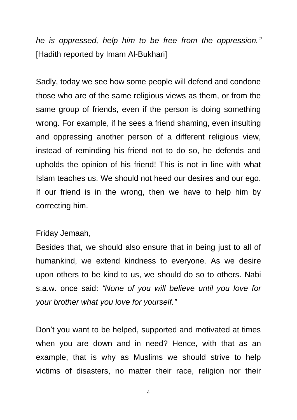*he is oppressed, help him to be free from the oppression."*  [Hadith reported by Imam Al-Bukhari]

Sadly, today we see how some people will defend and condone those who are of the same religious views as them, or from the same group of friends, even if the person is doing something wrong. For example, if he sees a friend shaming, even insulting and oppressing another person of a different religious view, instead of reminding his friend not to do so, he defends and upholds the opinion of his friend! This is not in line with what Islam teaches us. We should not heed our desires and our ego. If our friend is in the wrong, then we have to help him by correcting him.

## Friday Jemaah,

Besides that, we should also ensure that in being just to all of humankind, we extend kindness to everyone. As we desire upon others to be kind to us, we should do so to others. Nabi s.a.w. once said: *"None of you will believe until you love for your brother what you love for yourself."*

Don't you want to be helped, supported and motivated at times when you are down and in need? Hence, with that as an example, that is why as Muslims we should strive to help victims of disasters, no matter their race, religion nor their

4